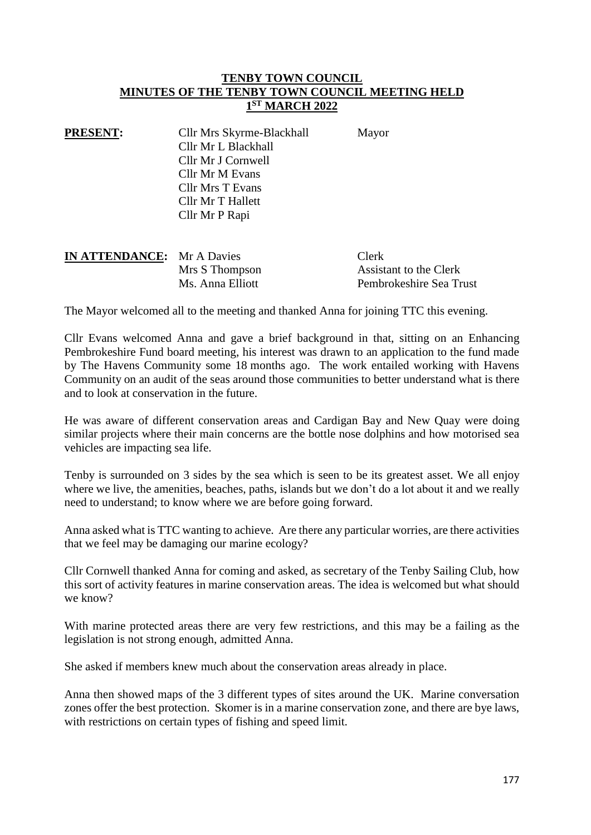## **TENBY TOWN COUNCIL MINUTES OF THE TENBY TOWN COUNCIL MEETING HELD 1 ST MARCH 2022**

| <b>PRESENT:</b> | Cllr Mrs Skyrme-Blackhall | Mayor |
|-----------------|---------------------------|-------|
|                 | Cllr Mr L Blackhall       |       |
|                 | Cllr Mr J Cornwell        |       |
|                 | Cllr Mr M Evans           |       |
|                 | <b>Cllr Mrs T Evans</b>   |       |
|                 | Cllr Mr T Hallett         |       |
|                 | Cllr Mr P Rapi            |       |

| <b>IN ATTENDANCE:</b> Mr A Davies |                  | Clerk                   |
|-----------------------------------|------------------|-------------------------|
|                                   | Mrs S Thompson   | Assistant to the Clerk  |
|                                   | Ms. Anna Elliott | Pembrokeshire Sea Trust |

The Mayor welcomed all to the meeting and thanked Anna for joining TTC this evening.

Cllr Evans welcomed Anna and gave a brief background in that, sitting on an Enhancing Pembrokeshire Fund board meeting, his interest was drawn to an application to the fund made by The Havens Community some 18 months ago. The work entailed working with Havens Community on an audit of the seas around those communities to better understand what is there and to look at conservation in the future.

He was aware of different conservation areas and Cardigan Bay and New Quay were doing similar projects where their main concerns are the bottle nose dolphins and how motorised sea vehicles are impacting sea life.

Tenby is surrounded on 3 sides by the sea which is seen to be its greatest asset. We all enjoy where we live, the amenities, beaches, paths, islands but we don't do a lot about it and we really need to understand; to know where we are before going forward.

Anna asked what is TTC wanting to achieve. Are there any particular worries, are there activities that we feel may be damaging our marine ecology?

Cllr Cornwell thanked Anna for coming and asked, as secretary of the Tenby Sailing Club, how this sort of activity features in marine conservation areas. The idea is welcomed but what should we know?

With marine protected areas there are very few restrictions, and this may be a failing as the legislation is not strong enough, admitted Anna.

She asked if members knew much about the conservation areas already in place.

Anna then showed maps of the 3 different types of sites around the UK. Marine conversation zones offer the best protection. Skomer is in a marine conservation zone, and there are bye laws, with restrictions on certain types of fishing and speed limit.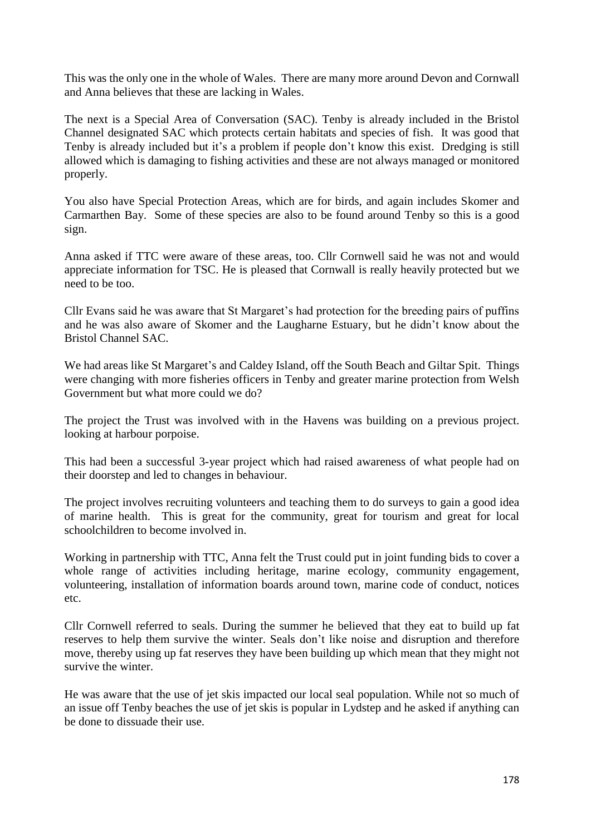This was the only one in the whole of Wales. There are many more around Devon and Cornwall and Anna believes that these are lacking in Wales.

The next is a Special Area of Conversation (SAC). Tenby is already included in the Bristol Channel designated SAC which protects certain habitats and species of fish. It was good that Tenby is already included but it's a problem if people don't know this exist. Dredging is still allowed which is damaging to fishing activities and these are not always managed or monitored properly.

You also have Special Protection Areas, which are for birds, and again includes Skomer and Carmarthen Bay. Some of these species are also to be found around Tenby so this is a good sign.

Anna asked if TTC were aware of these areas, too. Cllr Cornwell said he was not and would appreciate information for TSC. He is pleased that Cornwall is really heavily protected but we need to be too.

Cllr Evans said he was aware that St Margaret's had protection for the breeding pairs of puffins and he was also aware of Skomer and the Laugharne Estuary, but he didn't know about the Bristol Channel SAC.

We had areas like St Margaret's and Caldey Island, off the South Beach and Giltar Spit. Things were changing with more fisheries officers in Tenby and greater marine protection from Welsh Government but what more could we do?

The project the Trust was involved with in the Havens was building on a previous project. looking at harbour porpoise.

This had been a successful 3-year project which had raised awareness of what people had on their doorstep and led to changes in behaviour.

The project involves recruiting volunteers and teaching them to do surveys to gain a good idea of marine health. This is great for the community, great for tourism and great for local schoolchildren to become involved in.

Working in partnership with TTC, Anna felt the Trust could put in joint funding bids to cover a whole range of activities including heritage, marine ecology, community engagement, volunteering, installation of information boards around town, marine code of conduct, notices etc.

Cllr Cornwell referred to seals. During the summer he believed that they eat to build up fat reserves to help them survive the winter. Seals don't like noise and disruption and therefore move, thereby using up fat reserves they have been building up which mean that they might not survive the winter.

He was aware that the use of jet skis impacted our local seal population. While not so much of an issue off Tenby beaches the use of jet skis is popular in Lydstep and he asked if anything can be done to dissuade their use.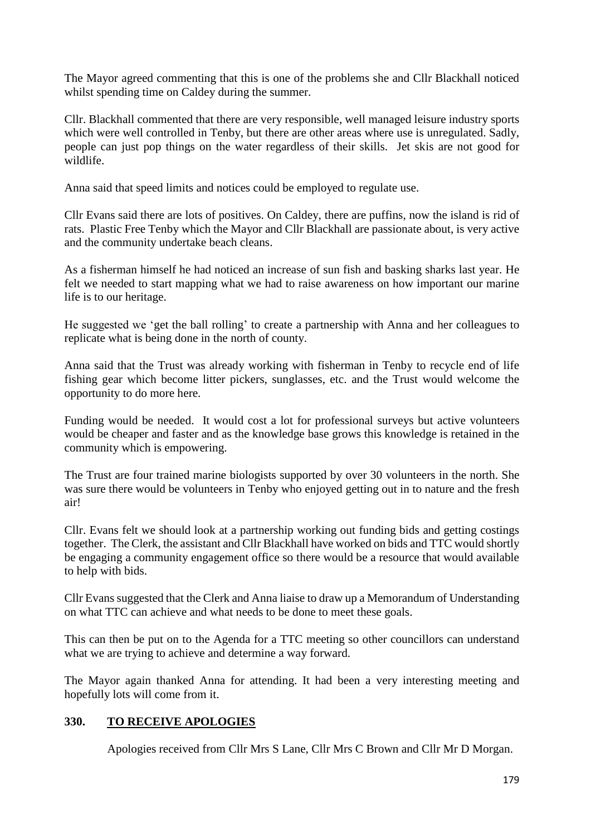The Mayor agreed commenting that this is one of the problems she and Cllr Blackhall noticed whilst spending time on Caldey during the summer.

Cllr. Blackhall commented that there are very responsible, well managed leisure industry sports which were well controlled in Tenby, but there are other areas where use is unregulated. Sadly, people can just pop things on the water regardless of their skills. Jet skis are not good for wildlife.

Anna said that speed limits and notices could be employed to regulate use.

Cllr Evans said there are lots of positives. On Caldey, there are puffins, now the island is rid of rats. Plastic Free Tenby which the Mayor and Cllr Blackhall are passionate about, is very active and the community undertake beach cleans.

As a fisherman himself he had noticed an increase of sun fish and basking sharks last year. He felt we needed to start mapping what we had to raise awareness on how important our marine life is to our heritage.

He suggested we 'get the ball rolling' to create a partnership with Anna and her colleagues to replicate what is being done in the north of county.

Anna said that the Trust was already working with fisherman in Tenby to recycle end of life fishing gear which become litter pickers, sunglasses, etc. and the Trust would welcome the opportunity to do more here.

Funding would be needed. It would cost a lot for professional surveys but active volunteers would be cheaper and faster and as the knowledge base grows this knowledge is retained in the community which is empowering.

The Trust are four trained marine biologists supported by over 30 volunteers in the north. She was sure there would be volunteers in Tenby who enjoyed getting out in to nature and the fresh air!

Cllr. Evans felt we should look at a partnership working out funding bids and getting costings together. The Clerk, the assistant and Cllr Blackhall have worked on bids and TTC would shortly be engaging a community engagement office so there would be a resource that would available to help with bids.

Cllr Evans suggested that the Clerk and Anna liaise to draw up a Memorandum of Understanding on what TTC can achieve and what needs to be done to meet these goals.

This can then be put on to the Agenda for a TTC meeting so other councillors can understand what we are trying to achieve and determine a way forward.

The Mayor again thanked Anna for attending. It had been a very interesting meeting and hopefully lots will come from it.

# **330. TO RECEIVE APOLOGIES**

Apologies received from Cllr Mrs S Lane, Cllr Mrs C Brown and Cllr Mr D Morgan.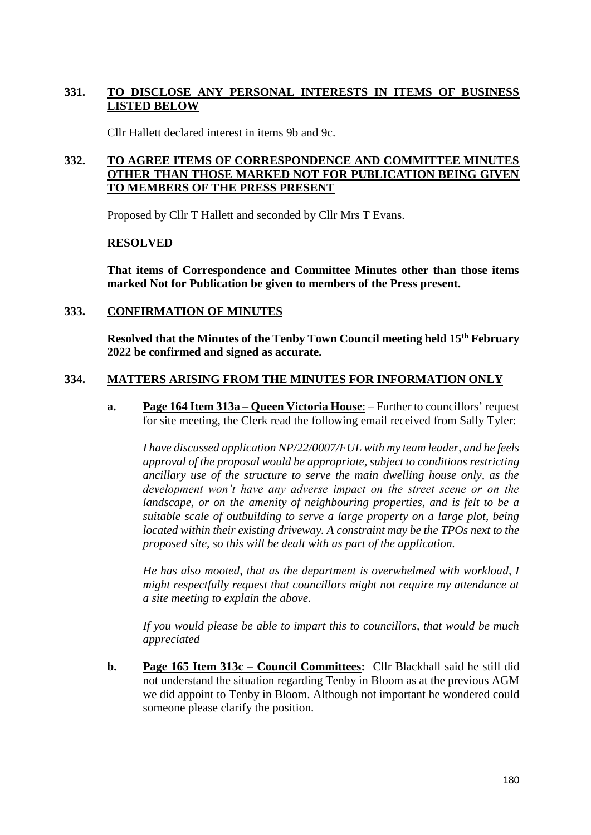# **331. TO DISCLOSE ANY PERSONAL INTERESTS IN ITEMS OF BUSINESS LISTED BELOW**

Cllr Hallett declared interest in items 9b and 9c.

# **332. TO AGREE ITEMS OF CORRESPONDENCE AND COMMITTEE MINUTES OTHER THAN THOSE MARKED NOT FOR PUBLICATION BEING GIVEN TO MEMBERS OF THE PRESS PRESENT**

Proposed by Cllr T Hallett and seconded by Cllr Mrs T Evans.

## **RESOLVED**

**That items of Correspondence and Committee Minutes other than those items marked Not for Publication be given to members of the Press present.**

## **333. CONFIRMATION OF MINUTES**

**Resolved that the Minutes of the Tenby Town Council meeting held 15th February 2022 be confirmed and signed as accurate.**

# **334. MATTERS ARISING FROM THE MINUTES FOR INFORMATION ONLY**

**a. Page 164 Item 313a – Queen Victoria House**: – Further to councillors' request for site meeting, the Clerk read the following email received from Sally Tyler:

*I have discussed application NP/22/0007/FUL with my team leader, and he feels approval of the proposal would be appropriate, subject to conditions restricting ancillary use of the structure to serve the main dwelling house only, as the development won't have any adverse impact on the street scene or on the landscape, or on the amenity of neighbouring properties, and is felt to be a suitable scale of outbuilding to serve a large property on a large plot, being located within their existing driveway. A constraint may be the TPOs next to the proposed site, so this will be dealt with as part of the application.*

*He has also mooted, that as the department is overwhelmed with workload, I might respectfully request that councillors might not require my attendance at a site meeting to explain the above.*

*If you would please be able to impart this to councillors, that would be much appreciated*

**b. Page 165 Item 313c – Council Committees:** Cllr Blackhall said he still did not understand the situation regarding Tenby in Bloom as at the previous AGM we did appoint to Tenby in Bloom. Although not important he wondered could someone please clarify the position.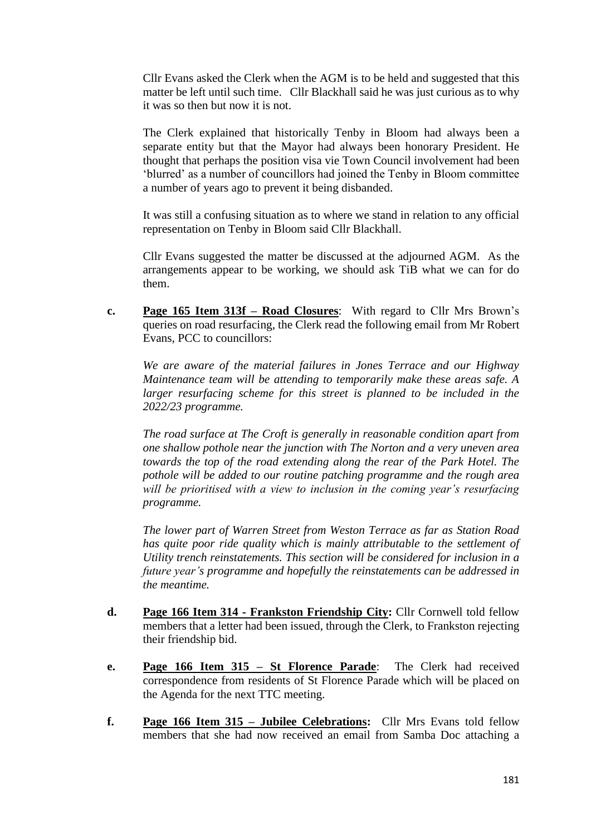Cllr Evans asked the Clerk when the AGM is to be held and suggested that this matter be left until such time. Cllr Blackhall said he was just curious as to why it was so then but now it is not.

The Clerk explained that historically Tenby in Bloom had always been a separate entity but that the Mayor had always been honorary President. He thought that perhaps the position visa vie Town Council involvement had been 'blurred' as a number of councillors had joined the Tenby in Bloom committee a number of years ago to prevent it being disbanded.

It was still a confusing situation as to where we stand in relation to any official representation on Tenby in Bloom said Cllr Blackhall.

Cllr Evans suggested the matter be discussed at the adjourned AGM. As the arrangements appear to be working, we should ask TiB what we can for do them.

**c. Page 165 Item 313f – Road Closures**: With regard to Cllr Mrs Brown's queries on road resurfacing, the Clerk read the following email from Mr Robert Evans, PCC to councillors:

*We are aware of the material failures in Jones Terrace and our Highway Maintenance team will be attending to temporarily make these areas safe. A larger resurfacing scheme for this street is planned to be included in the 2022/23 programme.*

*The road surface at The Croft is generally in reasonable condition apart from one shallow pothole near the junction with The Norton and a very uneven area towards the top of the road extending along the rear of the Park Hotel. The pothole will be added to our routine patching programme and the rough area will be prioritised with a view to inclusion in the coming year's resurfacing programme.*

*The lower part of Warren Street from Weston Terrace as far as Station Road has quite poor ride quality which is mainly attributable to the settlement of Utility trench reinstatements. This section will be considered for inclusion in a future year's programme and hopefully the reinstatements can be addressed in the meantime.*

- **d. Page 166 Item 314 - Frankston Friendship City:** Cllr Cornwell told fellow members that a letter had been issued, through the Clerk, to Frankston rejecting their friendship bid.
- **e. Page 166 Item 315 – St Florence Parade**: The Clerk had received correspondence from residents of St Florence Parade which will be placed on the Agenda for the next TTC meeting.
- **f. Page 166 Item 315 – Jubilee Celebrations:** Cllr Mrs Evans told fellow members that she had now received an email from Samba Doc attaching a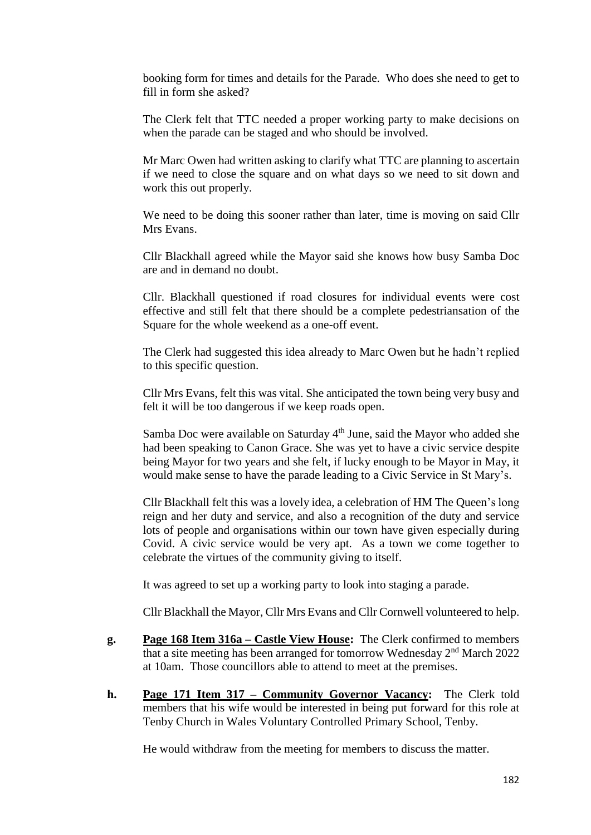booking form for times and details for the Parade. Who does she need to get to fill in form she asked?

The Clerk felt that TTC needed a proper working party to make decisions on when the parade can be staged and who should be involved.

Mr Marc Owen had written asking to clarify what TTC are planning to ascertain if we need to close the square and on what days so we need to sit down and work this out properly.

We need to be doing this sooner rather than later, time is moving on said Cllr Mrs Evans.

Cllr Blackhall agreed while the Mayor said she knows how busy Samba Doc are and in demand no doubt.

Cllr. Blackhall questioned if road closures for individual events were cost effective and still felt that there should be a complete pedestriansation of the Square for the whole weekend as a one-off event.

The Clerk had suggested this idea already to Marc Owen but he hadn't replied to this specific question.

Cllr Mrs Evans, felt this was vital. She anticipated the town being very busy and felt it will be too dangerous if we keep roads open.

Samba Doc were available on Saturday 4<sup>th</sup> June, said the Mayor who added she had been speaking to Canon Grace. She was yet to have a civic service despite being Mayor for two years and she felt, if lucky enough to be Mayor in May, it would make sense to have the parade leading to a Civic Service in St Mary's.

Cllr Blackhall felt this was a lovely idea, a celebration of HM The Queen's long reign and her duty and service, and also a recognition of the duty and service lots of people and organisations within our town have given especially during Covid. A civic service would be very apt. As a town we come together to celebrate the virtues of the community giving to itself.

It was agreed to set up a working party to look into staging a parade.

Cllr Blackhall the Mayor, Cllr Mrs Evans and Cllr Cornwell volunteered to help.

- **g. Page 168 Item 316a – Castle View House:** The Clerk confirmed to members that a site meeting has been arranged for tomorrow Wednesday 2nd March 2022 at 10am. Those councillors able to attend to meet at the premises.
- **h. Page 171 Item 317 – Community Governor Vacancy:** The Clerk told members that his wife would be interested in being put forward for this role at Tenby Church in Wales Voluntary Controlled Primary School, Tenby.

He would withdraw from the meeting for members to discuss the matter.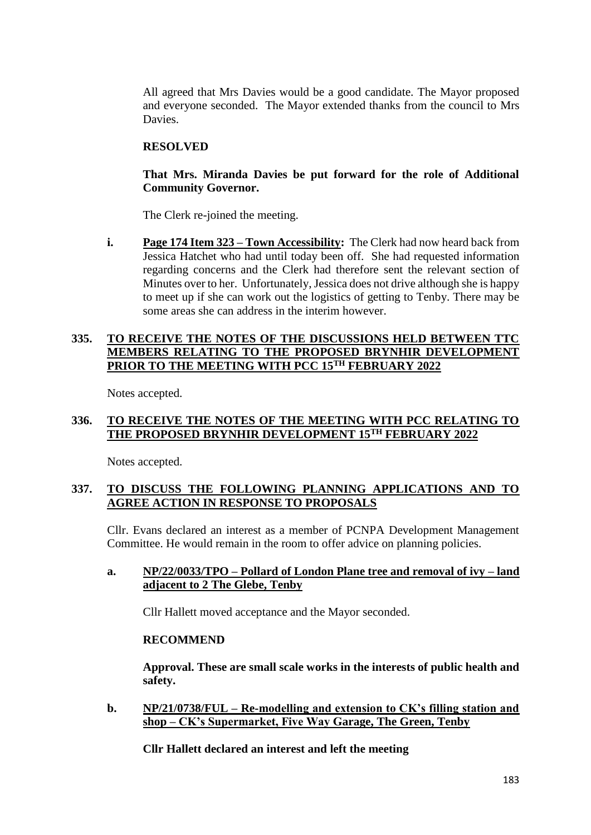All agreed that Mrs Davies would be a good candidate. The Mayor proposed and everyone seconded. The Mayor extended thanks from the council to Mrs Davies.

# **RESOLVED**

## **That Mrs. Miranda Davies be put forward for the role of Additional Community Governor.**

The Clerk re-joined the meeting.

**i. Page 174 Item 323 – Town Accessibility:** The Clerk had now heard back from Jessica Hatchet who had until today been off. She had requested information regarding concerns and the Clerk had therefore sent the relevant section of Minutes over to her. Unfortunately, Jessica does not drive although she is happy to meet up if she can work out the logistics of getting to Tenby. There may be some areas she can address in the interim however.

## **335. TO RECEIVE THE NOTES OF THE DISCUSSIONS HELD BETWEEN TTC MEMBERS RELATING TO THE PROPOSED BRYNHIR DEVELOPMENT PRIOR TO THE MEETING WITH PCC 15TH FEBRUARY 2022**

Notes accepted.

# **336. TO RECEIVE THE NOTES OF THE MEETING WITH PCC RELATING TO THE PROPOSED BRYNHIR DEVELOPMENT 15TH FEBRUARY 2022**

Notes accepted.

# **337. TO DISCUSS THE FOLLOWING PLANNING APPLICATIONS AND TO AGREE ACTION IN RESPONSE TO PROPOSALS**

Cllr. Evans declared an interest as a member of PCNPA Development Management Committee. He would remain in the room to offer advice on planning policies.

## **a. NP/22/0033/TPO – Pollard of London Plane tree and removal of ivy – land adjacent to 2 The Glebe, Tenby**

Cllr Hallett moved acceptance and the Mayor seconded.

# **RECOMMEND**

**Approval. These are small scale works in the interests of public health and safety.**

**b. NP/21/0738/FUL – Re-modelling and extension to CK's filling station and shop – CK's Supermarket, Five Way Garage, The Green, Tenby**

**Cllr Hallett declared an interest and left the meeting**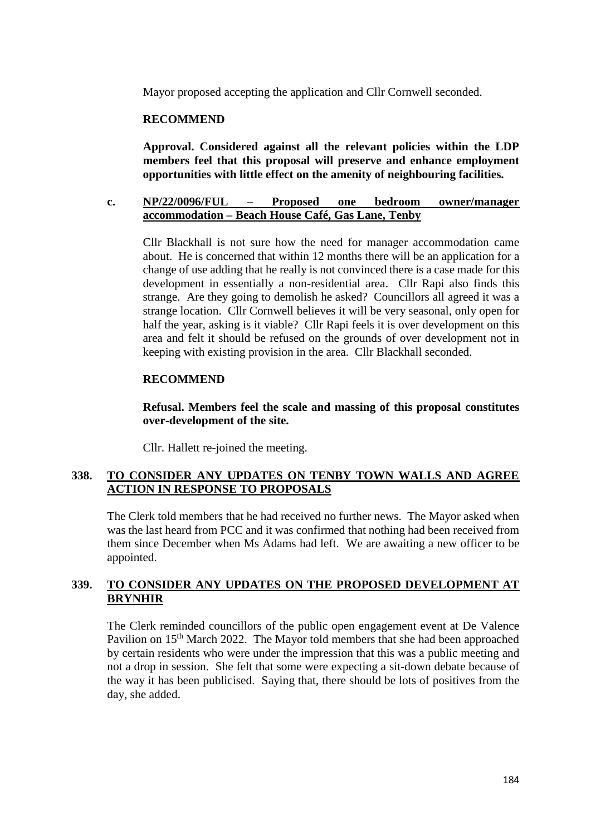Mayor proposed accepting the application and Cllr Cornwell seconded.

## **RECOMMEND**

**Approval. Considered against all the relevant policies within the LDP members feel that this proposal will preserve and enhance employment opportunities with little effect on the amenity of neighbouring facilities.**

## **c. NP/22/0096/FUL – Proposed one bedroom owner/manager accommodation – Beach House Café, Gas Lane, Tenby**

Cllr Blackhall is not sure how the need for manager accommodation came about. He is concerned that within 12 months there will be an application for a change of use adding that he really is not convinced there is a case made for this development in essentially a non-residential area. Cllr Rapi also finds this strange. Are they going to demolish he asked? Councillors all agreed it was a strange location. Cllr Cornwell believes it will be very seasonal, only open for half the year, asking is it viable? Cllr Rapi feels it is over development on this area and felt it should be refused on the grounds of over development not in keeping with existing provision in the area. Cllr Blackhall seconded.

## **RECOMMEND**

**Refusal. Members feel the scale and massing of this proposal constitutes over-development of the site.**

Cllr. Hallett re-joined the meeting.

## **338. TO CONSIDER ANY UPDATES ON TENBY TOWN WALLS AND AGREE ACTION IN RESPONSE TO PROPOSALS**

The Clerk told members that he had received no further news. The Mayor asked when was the last heard from PCC and it was confirmed that nothing had been received from them since December when Ms Adams had left. We are awaiting a new officer to be appointed.

# **339. TO CONSIDER ANY UPDATES ON THE PROPOSED DEVELOPMENT AT BRYNHIR**

The Clerk reminded councillors of the public open engagement event at De Valence Pavilion on 15<sup>th</sup> March 2022. The Mayor told members that she had been approached by certain residents who were under the impression that this was a public meeting and not a drop in session. She felt that some were expecting a sit-down debate because of the way it has been publicised. Saying that, there should be lots of positives from the day, she added.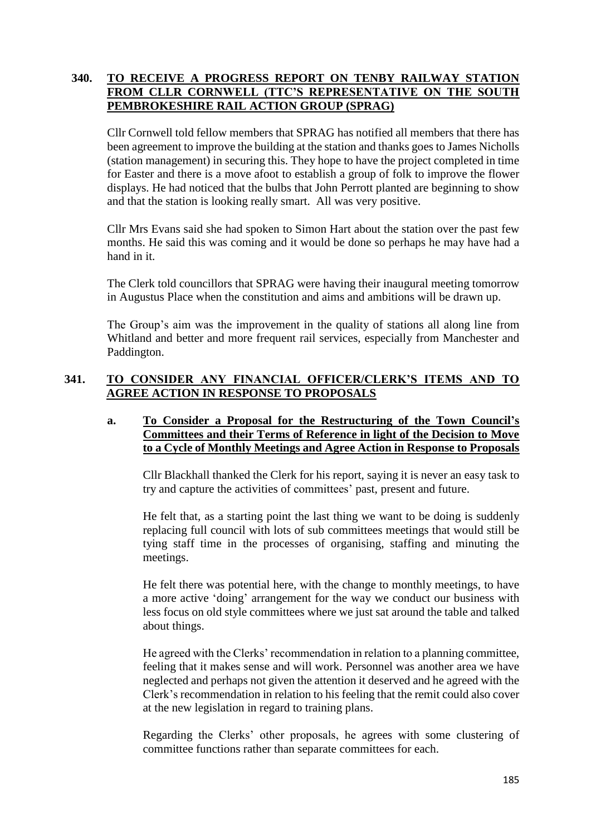# **340. TO RECEIVE A PROGRESS REPORT ON TENBY RAILWAY STATION FROM CLLR CORNWELL (TTC'S REPRESENTATIVE ON THE SOUTH PEMBROKESHIRE RAIL ACTION GROUP (SPRAG)**

Cllr Cornwell told fellow members that SPRAG has notified all members that there has been agreement to improve the building at the station and thanks goes to James Nicholls (station management) in securing this. They hope to have the project completed in time for Easter and there is a move afoot to establish a group of folk to improve the flower displays. He had noticed that the bulbs that John Perrott planted are beginning to show and that the station is looking really smart. All was very positive.

Cllr Mrs Evans said she had spoken to Simon Hart about the station over the past few months. He said this was coming and it would be done so perhaps he may have had a hand in it.

The Clerk told councillors that SPRAG were having their inaugural meeting tomorrow in Augustus Place when the constitution and aims and ambitions will be drawn up.

The Group's aim was the improvement in the quality of stations all along line from Whitland and better and more frequent rail services, especially from Manchester and Paddington.

# **341. TO CONSIDER ANY FINANCIAL OFFICER/CLERK'S ITEMS AND TO AGREE ACTION IN RESPONSE TO PROPOSALS**

## **a. To Consider a Proposal for the Restructuring of the Town Council's Committees and their Terms of Reference in light of the Decision to Move to a Cycle of Monthly Meetings and Agree Action in Response to Proposals**

Cllr Blackhall thanked the Clerk for his report, saying it is never an easy task to try and capture the activities of committees' past, present and future.

He felt that, as a starting point the last thing we want to be doing is suddenly replacing full council with lots of sub committees meetings that would still be tying staff time in the processes of organising, staffing and minuting the meetings.

He felt there was potential here, with the change to monthly meetings, to have a more active 'doing' arrangement for the way we conduct our business with less focus on old style committees where we just sat around the table and talked about things.

He agreed with the Clerks' recommendation in relation to a planning committee, feeling that it makes sense and will work. Personnel was another area we have neglected and perhaps not given the attention it deserved and he agreed with the Clerk's recommendation in relation to his feeling that the remit could also cover at the new legislation in regard to training plans.

Regarding the Clerks' other proposals, he agrees with some clustering of committee functions rather than separate committees for each.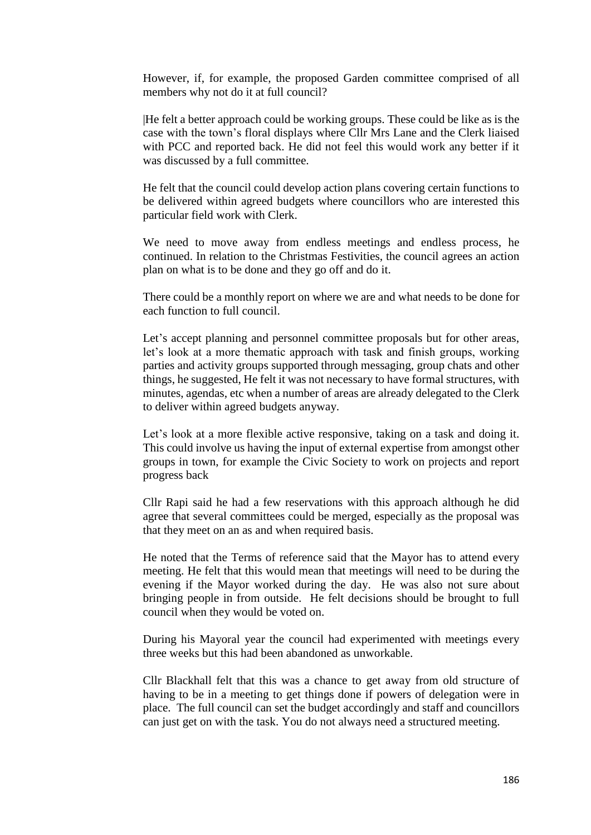However, if, for example, the proposed Garden committee comprised of all members why not do it at full council?

|He felt a better approach could be working groups. These could be like as is the case with the town's floral displays where Cllr Mrs Lane and the Clerk liaised with PCC and reported back. He did not feel this would work any better if it was discussed by a full committee.

He felt that the council could develop action plans covering certain functions to be delivered within agreed budgets where councillors who are interested this particular field work with Clerk.

We need to move away from endless meetings and endless process, he continued. In relation to the Christmas Festivities, the council agrees an action plan on what is to be done and they go off and do it.

There could be a monthly report on where we are and what needs to be done for each function to full council.

Let's accept planning and personnel committee proposals but for other areas, let's look at a more thematic approach with task and finish groups, working parties and activity groups supported through messaging, group chats and other things, he suggested, He felt it was not necessary to have formal structures, with minutes, agendas, etc when a number of areas are already delegated to the Clerk to deliver within agreed budgets anyway.

Let's look at a more flexible active responsive, taking on a task and doing it. This could involve us having the input of external expertise from amongst other groups in town, for example the Civic Society to work on projects and report progress back

Cllr Rapi said he had a few reservations with this approach although he did agree that several committees could be merged, especially as the proposal was that they meet on an as and when required basis.

He noted that the Terms of reference said that the Mayor has to attend every meeting. He felt that this would mean that meetings will need to be during the evening if the Mayor worked during the day. He was also not sure about bringing people in from outside. He felt decisions should be brought to full council when they would be voted on.

During his Mayoral year the council had experimented with meetings every three weeks but this had been abandoned as unworkable.

Cllr Blackhall felt that this was a chance to get away from old structure of having to be in a meeting to get things done if powers of delegation were in place. The full council can set the budget accordingly and staff and councillors can just get on with the task. You do not always need a structured meeting.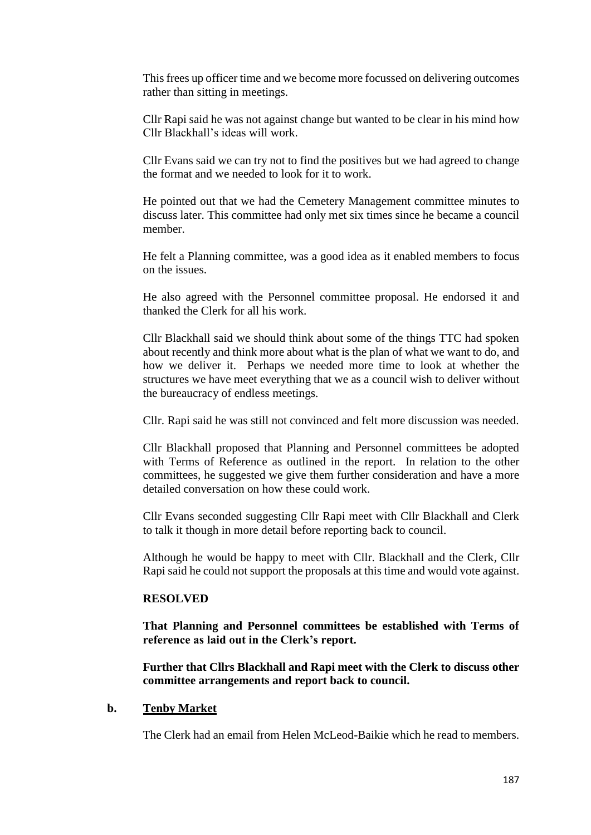This frees up officer time and we become more focussed on delivering outcomes rather than sitting in meetings.

Cllr Rapi said he was not against change but wanted to be clear in his mind how Cllr Blackhall's ideas will work.

Cllr Evans said we can try not to find the positives but we had agreed to change the format and we needed to look for it to work.

He pointed out that we had the Cemetery Management committee minutes to discuss later. This committee had only met six times since he became a council member.

He felt a Planning committee, was a good idea as it enabled members to focus on the issues.

He also agreed with the Personnel committee proposal. He endorsed it and thanked the Clerk for all his work.

Cllr Blackhall said we should think about some of the things TTC had spoken about recently and think more about what is the plan of what we want to do, and how we deliver it. Perhaps we needed more time to look at whether the structures we have meet everything that we as a council wish to deliver without the bureaucracy of endless meetings.

Cllr. Rapi said he was still not convinced and felt more discussion was needed.

Cllr Blackhall proposed that Planning and Personnel committees be adopted with Terms of Reference as outlined in the report. In relation to the other committees, he suggested we give them further consideration and have a more detailed conversation on how these could work.

Cllr Evans seconded suggesting Cllr Rapi meet with Cllr Blackhall and Clerk to talk it though in more detail before reporting back to council.

Although he would be happy to meet with Cllr. Blackhall and the Clerk, Cllr Rapi said he could not support the proposals at this time and would vote against.

### **RESOLVED**

**That Planning and Personnel committees be established with Terms of reference as laid out in the Clerk's report.**

**Further that Cllrs Blackhall and Rapi meet with the Clerk to discuss other committee arrangements and report back to council.**

#### **b. Tenby Market**

The Clerk had an email from Helen McLeod-Baikie which he read to members.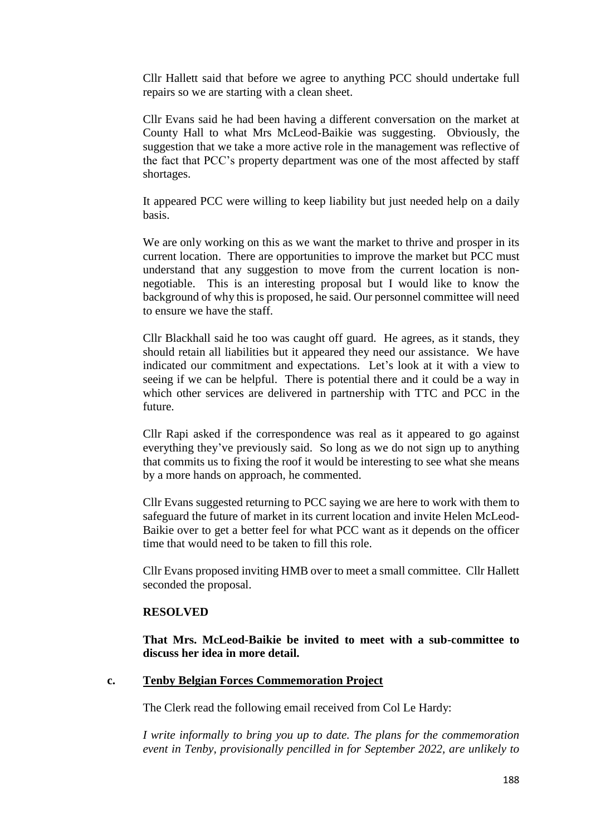Cllr Hallett said that before we agree to anything PCC should undertake full repairs so we are starting with a clean sheet.

Cllr Evans said he had been having a different conversation on the market at County Hall to what Mrs McLeod-Baikie was suggesting. Obviously, the suggestion that we take a more active role in the management was reflective of the fact that PCC's property department was one of the most affected by staff shortages.

It appeared PCC were willing to keep liability but just needed help on a daily basis.

We are only working on this as we want the market to thrive and prosper in its current location. There are opportunities to improve the market but PCC must understand that any suggestion to move from the current location is nonnegotiable. This is an interesting proposal but I would like to know the background of why this is proposed, he said. Our personnel committee will need to ensure we have the staff.

Cllr Blackhall said he too was caught off guard. He agrees, as it stands, they should retain all liabilities but it appeared they need our assistance. We have indicated our commitment and expectations. Let's look at it with a view to seeing if we can be helpful. There is potential there and it could be a way in which other services are delivered in partnership with TTC and PCC in the future.

Cllr Rapi asked if the correspondence was real as it appeared to go against everything they've previously said. So long as we do not sign up to anything that commits us to fixing the roof it would be interesting to see what she means by a more hands on approach, he commented.

Cllr Evans suggested returning to PCC saying we are here to work with them to safeguard the future of market in its current location and invite Helen McLeod-Baikie over to get a better feel for what PCC want as it depends on the officer time that would need to be taken to fill this role.

Cllr Evans proposed inviting HMB over to meet a small committee. Cllr Hallett seconded the proposal.

### **RESOLVED**

**That Mrs. McLeod-Baikie be invited to meet with a sub-committee to discuss her idea in more detail.**

## **c. Tenby Belgian Forces Commemoration Project**

The Clerk read the following email received from Col Le Hardy:

*I write informally to bring you up to date. The plans for the commemoration event in Tenby, provisionally pencilled in for September 2022, are unlikely to*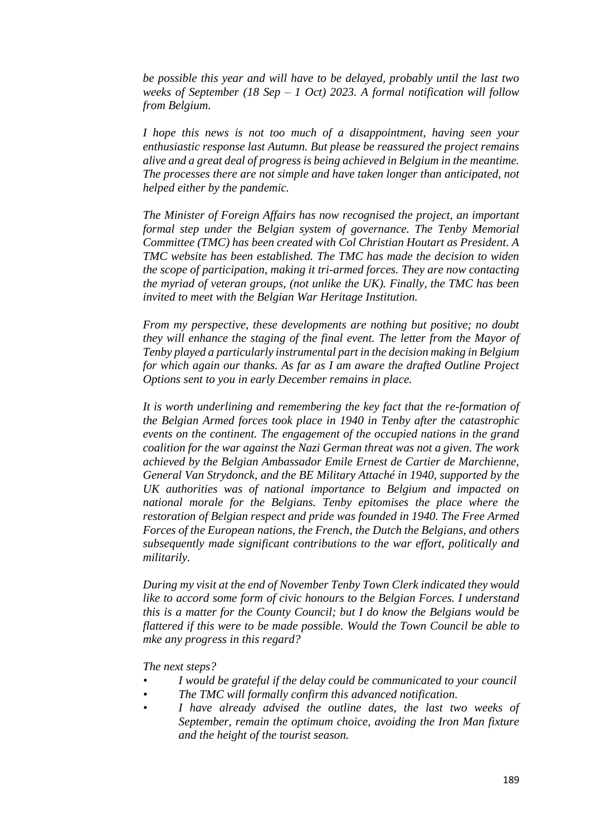*be possible this year and will have to be delayed, probably until the last two weeks of September (18 Sep – 1 Oct) 2023. A formal notification will follow from Belgium.* 

*I hope this news is not too much of a disappointment, having seen your enthusiastic response last Autumn. But please be reassured the project remains alive and a great deal of progress is being achieved in Belgium in the meantime. The processes there are not simple and have taken longer than anticipated, not helped either by the pandemic.* 

*The Minister of Foreign Affairs has now recognised the project, an important formal step under the Belgian system of governance. The Tenby Memorial Committee (TMC) has been created with Col Christian Houtart as President. A TMC website has been established. The TMC has made the decision to widen the scope of participation, making it tri-armed forces. They are now contacting the myriad of veteran groups, (not unlike the UK). Finally, the TMC has been invited to meet with the Belgian War Heritage Institution.* 

*From my perspective, these developments are nothing but positive; no doubt they will enhance the staging of the final event. The letter from the Mayor of Tenby played a particularly instrumental part in the decision making in Belgium for which again our thanks. As far as I am aware the drafted Outline Project Options sent to you in early December remains in place.* 

*It is worth underlining and remembering the key fact that the re-formation of the Belgian Armed forces took place in 1940 in Tenby after the catastrophic events on the continent. The engagement of the occupied nations in the grand coalition for the war against the Nazi German threat was not a given. The work achieved by the Belgian Ambassador Emile Ernest de Cartier de Marchienne, General Van Strydonck, and the BE Military Attaché in 1940, supported by the UK authorities was of national importance to Belgium and impacted on national morale for the Belgians. Tenby epitomises the place where the restoration of Belgian respect and pride was founded in 1940. The Free Armed Forces of the European nations, the French, the Dutch the Belgians, and others subsequently made significant contributions to the war effort, politically and militarily.* 

*During my visit at the end of November Tenby Town Clerk indicated they would like to accord some form of civic honours to the Belgian Forces. I understand this is a matter for the County Council; but I do know the Belgians would be flattered if this were to be made possible. Would the Town Council be able to mke any progress in this regard?* 

*The next steps?* 

- *• I would be grateful if the delay could be communicated to your council*
- *• The TMC will formally confirm this advanced notification.*
- *• I have already advised the outline dates, the last two weeks of September, remain the optimum choice, avoiding the Iron Man fixture and the height of the tourist season.*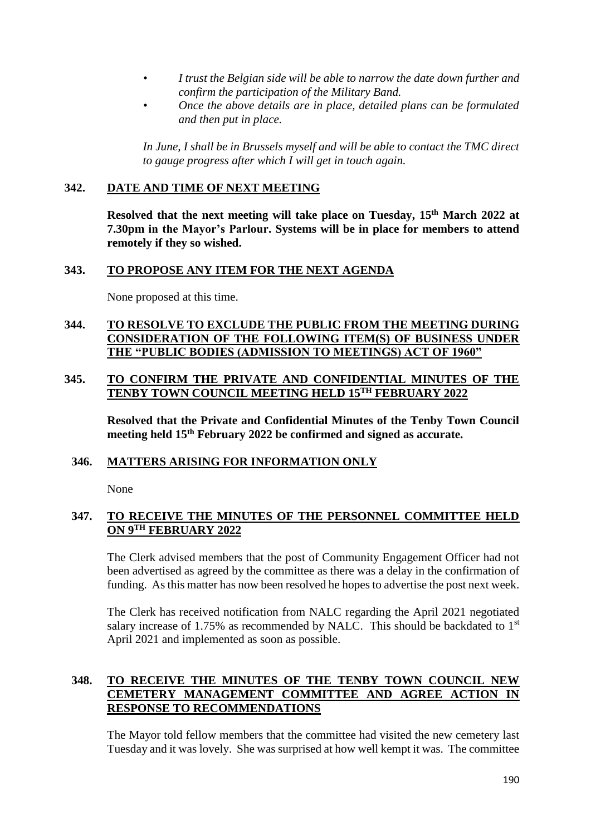- *• I trust the Belgian side will be able to narrow the date down further and confirm the participation of the Military Band.*
- *• Once the above details are in place, detailed plans can be formulated and then put in place.*

*In June, I shall be in Brussels myself and will be able to contact the TMC direct to gauge progress after which I will get in touch again.*

## **342. DATE AND TIME OF NEXT MEETING**

**Resolved that the next meeting will take place on Tuesday, 15th March 2022 at 7.30pm in the Mayor's Parlour. Systems will be in place for members to attend remotely if they so wished.**

## **343. TO PROPOSE ANY ITEM FOR THE NEXT AGENDA**

None proposed at this time.

## **344. TO RESOLVE TO EXCLUDE THE PUBLIC FROM THE MEETING DURING CONSIDERATION OF THE FOLLOWING ITEM(S) OF BUSINESS UNDER THE "PUBLIC BODIES (ADMISSION TO MEETINGS) ACT OF 1960"**

## **345. TO CONFIRM THE PRIVATE AND CONFIDENTIAL MINUTES OF THE TENBY TOWN COUNCIL MEETING HELD 15TH FEBRUARY 2022**

**Resolved that the Private and Confidential Minutes of the Tenby Town Council meeting held 15th February 2022 be confirmed and signed as accurate.**

### **346. MATTERS ARISING FOR INFORMATION ONLY**

None

# **347. TO RECEIVE THE MINUTES OF THE PERSONNEL COMMITTEE HELD ON 9TH FEBRUARY 2022**

The Clerk advised members that the post of Community Engagement Officer had not been advertised as agreed by the committee as there was a delay in the confirmation of funding. As this matter has now been resolved he hopes to advertise the post next week.

The Clerk has received notification from NALC regarding the April 2021 negotiated salary increase of 1.75% as recommended by NALC. This should be backdated to  $1<sup>st</sup>$ April 2021 and implemented as soon as possible.

# **348. TO RECEIVE THE MINUTES OF THE TENBY TOWN COUNCIL NEW CEMETERY MANAGEMENT COMMITTEE AND AGREE ACTION IN RESPONSE TO RECOMMENDATIONS**

The Mayor told fellow members that the committee had visited the new cemetery last Tuesday and it was lovely. She was surprised at how well kempt it was. The committee